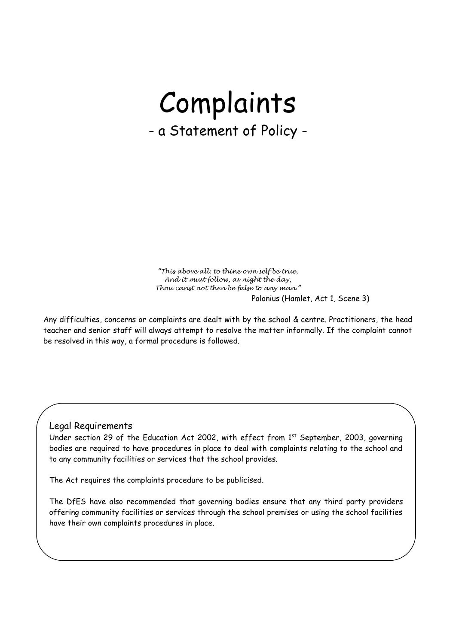# Complaints - a Statement of Policy -

*"This above all: to thine own self be true, And it must follow, as night the day, Thou canst not then be false to any man."* Polonius (Hamlet, Act 1, Scene 3)

Any difficulties, concerns or complaints are dealt with by the school & centre. Practitioners, the head teacher and senior staff will always attempt to resolve the matter informally. If the complaint cannot be resolved in this way, a formal procedure is followed.

#### Legal Requirements

Under section 29 of the Education Act 2002, with effect from 1<sup>st</sup> September, 2003, governing bodies are required to have procedures in place to deal with complaints relating to the school and to any community facilities or services that the school provides.

The Act requires the complaints procedure to be publicised.

The DfES have also recommended that governing bodies ensure that any third party providers offering community facilities or services through the school premises or using the school facilities have their own complaints procedures in place.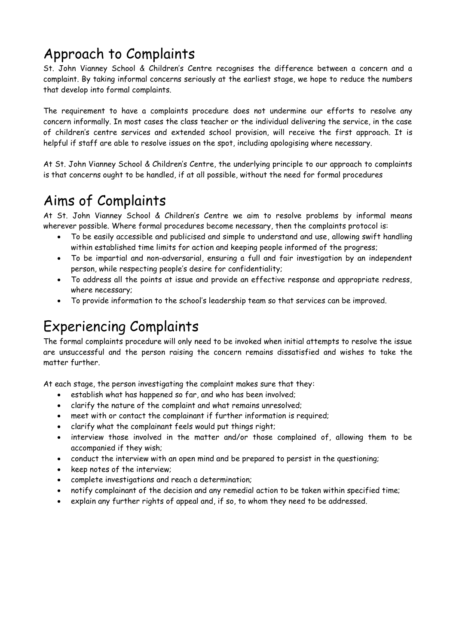# Approach to Complaints

St. John Vianney School & Children's Centre recognises the difference between a concern and a complaint. By taking informal concerns seriously at the earliest stage, we hope to reduce the numbers that develop into formal complaints.

The requirement to have a complaints procedure does not undermine our efforts to resolve any concern informally. In most cases the class teacher or the individual delivering the service, in the case of children's centre services and extended school provision, will receive the first approach. It is helpful if staff are able to resolve issues on the spot, including apologising where necessary.

At St. John Vianney School & Children's Centre, the underlying principle to our approach to complaints is that concerns ought to be handled, if at all possible, without the need for formal procedures

### Aims of Complaints

At St. John Vianney School & Children's Centre we aim to resolve problems by informal means wherever possible. Where formal procedures become necessary, then the complaints protocol is:

- To be easily accessible and publicised and simple to understand and use, allowing swift handling within established time limits for action and keeping people informed of the progress;
- To be impartial and non-adversarial, ensuring a full and fair investigation by an independent person, while respecting people's desire for confidentiality;
- To address all the points at issue and provide an effective response and appropriate redress, where necessary;
- To provide information to the school's leadership team so that services can be improved.

#### Experiencing Complaints

The formal complaints procedure will only need to be invoked when initial attempts to resolve the issue are unsuccessful and the person raising the concern remains dissatisfied and wishes to take the matter further.

At each stage, the person investigating the complaint makes sure that they:

- establish what has happened so far, and who has been involved;
- clarify the nature of the complaint and what remains unresolved;
- meet with or contact the complainant if further information is required;
- clarify what the complainant feels would put things right;
- interview those involved in the matter and/or those complained of, allowing them to be accompanied if they wish;
- conduct the interview with an open mind and be prepared to persist in the questioning;
- keep notes of the interview;
- complete investigations and reach a determination;
- notify complainant of the decision and any remedial action to be taken within specified time;
- explain any further rights of appeal and, if so, to whom they need to be addressed.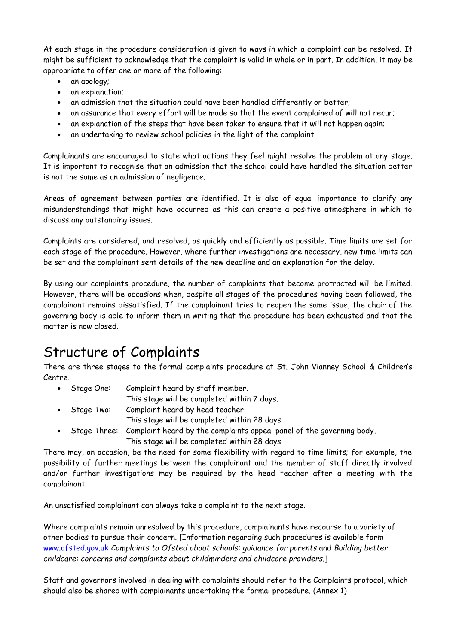At each stage in the procedure consideration is given to ways in which a complaint can be resolved. It might be sufficient to acknowledge that the complaint is valid in whole or in part. In addition, it may be appropriate to offer one or more of the following:

- an apology;
- an explanation;
- an admission that the situation could have been handled differently or better;
- an assurance that every effort will be made so that the event complained of will not recur;
- an explanation of the steps that have been taken to ensure that it will not happen again;
- an undertaking to review school policies in the light of the complaint.

Complainants are encouraged to state what actions they feel might resolve the problem at any stage. It is important to recognise that an admission that the school could have handled the situation better is not the same as an admission of negligence.

Areas of agreement between parties are identified. It is also of equal importance to clarify any misunderstandings that might have occurred as this can create a positive atmosphere in which to discuss any outstanding issues.

Complaints are considered, and resolved, as quickly and efficiently as possible. Time limits are set for each stage of the procedure. However, where further investigations are necessary, new time limits can be set and the complainant sent details of the new deadline and an explanation for the delay.

By using our complaints procedure, the number of complaints that become protracted will be limited. However, there will be occasions when, despite all stages of the procedures having been followed, the complainant remains dissatisfied. If the complainant tries to reopen the same issue, the chair of the governing body is able to inform them in writing that the procedure has been exhausted and that the matter is now closed.

#### Structure of Complaints

There are three stages to the formal complaints procedure at St. John Vianney School & Children's Centre.

- Stage One: Complaint heard by staff member. This stage will be completed within 7 days.
- Stage Two: Complaint heard by head teacher.
	- This stage will be completed within 28 days.
- Stage Three: Complaint heard by the complaints appeal panel of the governing body. This stage will be completed within 28 days.

There may, on occasion, be the need for some flexibility with regard to time limits; for example, the possibility of further meetings between the complainant and the member of staff directly involved and/or further investigations may be required by the head teacher after a meeting with the complainant.

An unsatisfied complainant can always take a complaint to the next stage.

Where complaints remain unresolved by this procedure, complainants have recourse to a variety of other bodies to pursue their concern. [Information regarding such procedures is available form [www.ofsted.gov.uk](http://www.ofsted.gov.uk/) *Complaints to Ofsted about schools: guidance for parents* and *Building better childcare: concerns and complaints about childminders and childcare providers*.]

Staff and governors involved in dealing with complaints should refer to the Complaints protocol, which should also be shared with complainants undertaking the formal procedure. (Annex 1)